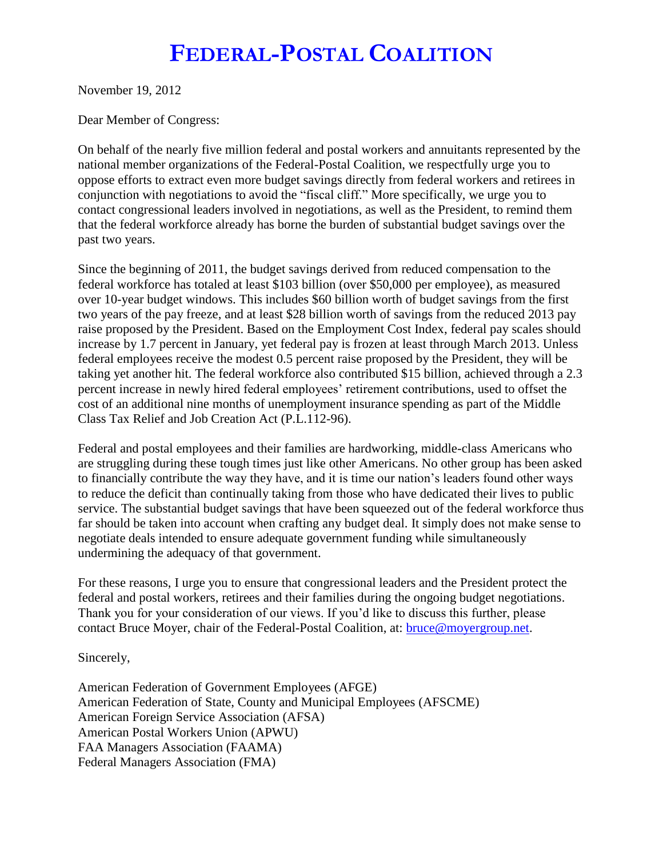## **FEDERAL-POSTAL COALITION**

November 19, 2012

Dear Member of Congress:

On behalf of the nearly five million federal and postal workers and annuitants represented by the national member organizations of the Federal-Postal Coalition, we respectfully urge you to oppose efforts to extract even more budget savings directly from federal workers and retirees in conjunction with negotiations to avoid the "fiscal cliff." More specifically, we urge you to contact congressional leaders involved in negotiations, as well as the President, to remind them that the federal workforce already has borne the burden of substantial budget savings over the past two years.

Since the beginning of 2011, the budget savings derived from reduced compensation to the federal workforce has totaled at least \$103 billion (over \$50,000 per employee), as measured over 10-year budget windows. This includes \$60 billion worth of budget savings from the first two years of the pay freeze, and at least \$28 billion worth of savings from the reduced 2013 pay raise proposed by the President. Based on the Employment Cost Index, federal pay scales should increase by 1.7 percent in January, yet federal pay is frozen at least through March 2013. Unless federal employees receive the modest 0.5 percent raise proposed by the President, they will be taking yet another hit. The federal workforce also contributed \$15 billion, achieved through a 2.3 percent increase in newly hired federal employees' retirement contributions, used to offset the cost of an additional nine months of unemployment insurance spending as part of the Middle Class Tax Relief and Job Creation Act (P.L.112-96).

Federal and postal employees and their families are hardworking, middle-class Americans who are struggling during these tough times just like other Americans. No other group has been asked to financially contribute the way they have, and it is time our nation's leaders found other ways to reduce the deficit than continually taking from those who have dedicated their lives to public service. The substantial budget savings that have been squeezed out of the federal workforce thus far should be taken into account when crafting any budget deal. It simply does not make sense to negotiate deals intended to ensure adequate government funding while simultaneously undermining the adequacy of that government.

For these reasons, I urge you to ensure that congressional leaders and the President protect the federal and postal workers, retirees and their families during the ongoing budget negotiations. Thank you for your consideration of our views. If you'd like to discuss this further, please contact Bruce Moyer, chair of the Federal-Postal Coalition, at: [bruce@moyergroup.net.](mailto:bruce@moyergroup.net)

Sincerely,

American Federation of Government Employees (AFGE) American Federation of State, County and Municipal Employees (AFSCME) American Foreign Service Association (AFSA) American Postal Workers Union (APWU) FAA Managers Association (FAAMA) Federal Managers Association (FMA)